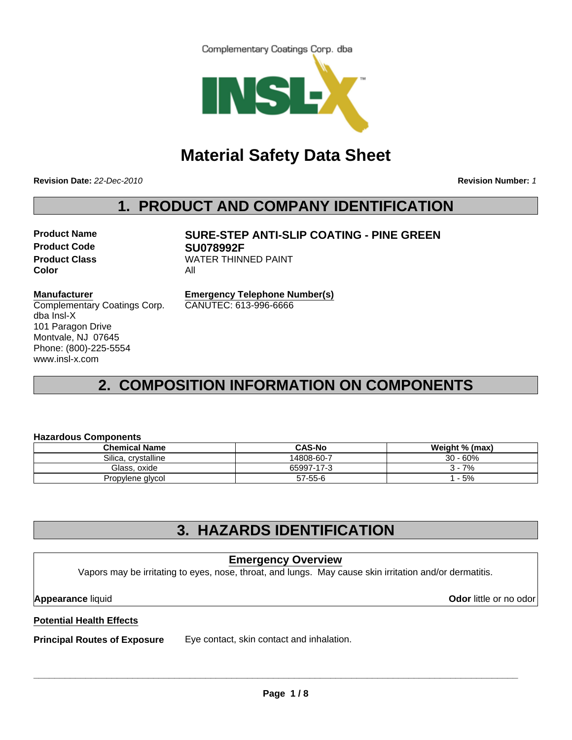Complementary Coatings Corp. dba



# **Material Safety Data Sheet**

**Revision Date:** *22-Dec-2010*

**Revision Number:** *1*

# **1. PRODUCT AND COMPANY IDENTIFICATION**

**Product Code SU078992F Color** All

# **Product Name SURE-STEP ANTI-SLIP COATING - PINE GREEN Product Class WATER THINNED PAINT**

#### **Manufacturer**

Complementary Coatings Corp. dba Insl-X 101 Paragon Drive Montvale, NJ 07645 Phone: (800)-225-5554 www.insl-x.com

**Emergency Telephone Number(s)** CANUTEC: 613-996-6666

# **2. COMPOSITION INFORMATION ON COMPONENTS**

#### **Hazardous Components**

| <b>Chemical Name</b> | <b>CAS-No</b> | Weight % (max) |
|----------------------|---------------|----------------|
| Silica, crystalline  | 14808-60-7    | $30 - 60%$     |
| Glass, oxide         | 65997-17-3    | 7%             |
| Propylene glycol     | $57 - 55 - 6$ | - 5%           |

## **3. HAZARDS IDENTIFICATION**

### **Emergency Overview**

Vapors may be irritating to eyes, nose, throat, and lungs. May cause skin irritation and/or dermatitis.

**Appearance** liquid **Odor** little or no odor

### **Potential Health Effects**

**Principal Routes of Exposure** Eye contact, skin contact and inhalation.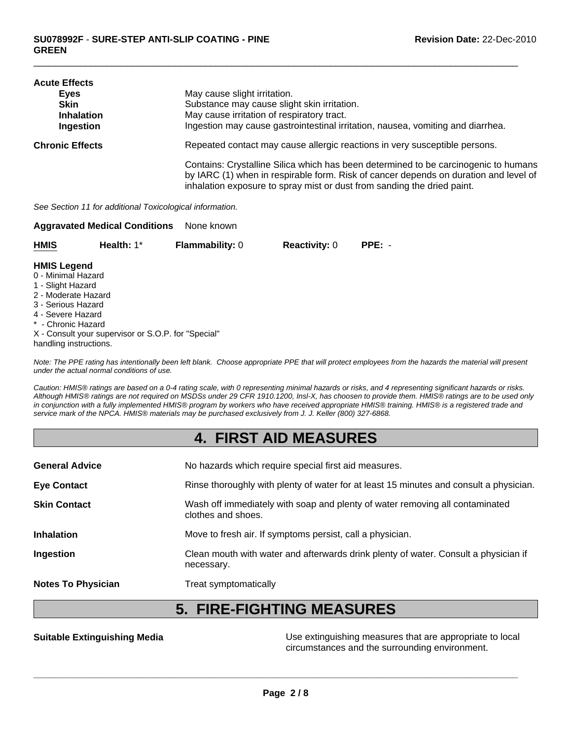| <b>Acute Effects</b>   |                                                                                                                                                                                                                                                        |
|------------------------|--------------------------------------------------------------------------------------------------------------------------------------------------------------------------------------------------------------------------------------------------------|
| Eves                   | May cause slight irritation.                                                                                                                                                                                                                           |
| <b>Skin</b>            | Substance may cause slight skin irritation.                                                                                                                                                                                                            |
| <b>Inhalation</b>      | May cause irritation of respiratory tract.                                                                                                                                                                                                             |
| Ingestion              | Ingestion may cause gastrointestinal irritation, nausea, vomiting and diarrhea.                                                                                                                                                                        |
| <b>Chronic Effects</b> | Repeated contact may cause allergic reactions in very susceptible persons.                                                                                                                                                                             |
|                        | Contains: Crystalline Silica which has been determined to be carcinogenic to humans<br>by IARC (1) when in respirable form. Risk of cancer depends on duration and level of<br>inhalation exposure to spray mist or dust from sanding the dried paint. |

*See Section 11 for additional Toxicological information.* **Aggravated Medical Conditions** None known

| ---         |            |                        |                      |          |
|-------------|------------|------------------------|----------------------|----------|
| <b>HMIS</b> | Health: 1* | <b>Flammability: 0</b> | <b>Reactivity: 0</b> | $PPE: -$ |

#### **HMIS Legend**

- 0 Minimal Hazard
- 1 Slight Hazard
- 2 Moderate Hazard
- 3 Serious Hazard
- 4 Severe Hazard
- \* Chronic Hazard
- X Consult your supervisor or S.O.P. for "Special"
- handling instructions.

*Note: The PPE rating has intentionally been left blank. Choose appropriate PPE that will protect employees from the hazards the material will present under the actual normal conditions of use.*

*Caution: HMIS® ratings are based on a 0-4 rating scale, with 0 representing minimal hazards or risks, and 4 representing significant hazards or risks. Although HMIS® ratings are not required on MSDSs under 29 CFR 1910.1200, Insl-X, has choosen to provide them. HMIS® ratings are to be used only in conjunction with a fully implemented HMIS® program by workers who have received appropriate HMIS® training. HMIS® is a registered trade and service mark of the NPCA. HMIS® materials may be purchased exclusively from J. J. Keller (800) 327-6868.*

### **4. FIRST AID MEASURES**

| <b>General Advice</b>     | No hazards which require special first aid measures.                                               |
|---------------------------|----------------------------------------------------------------------------------------------------|
| <b>Eye Contact</b>        | Rinse thoroughly with plenty of water for at least 15 minutes and consult a physician.             |
| <b>Skin Contact</b>       | Wash off immediately with soap and plenty of water removing all contaminated<br>clothes and shoes. |
| <b>Inhalation</b>         | Move to fresh air. If symptoms persist, call a physician.                                          |
| Ingestion                 | Clean mouth with water and afterwards drink plenty of water. Consult a physician if<br>necessary.  |
| <b>Notes To Physician</b> | Treat symptomatically                                                                              |

## **5. FIRE-FIGHTING MEASURES**

**Suitable Extinguishing Media** Moreon Connection Use extinguishing measures that are appropriate to local circumstances and the surrounding environment.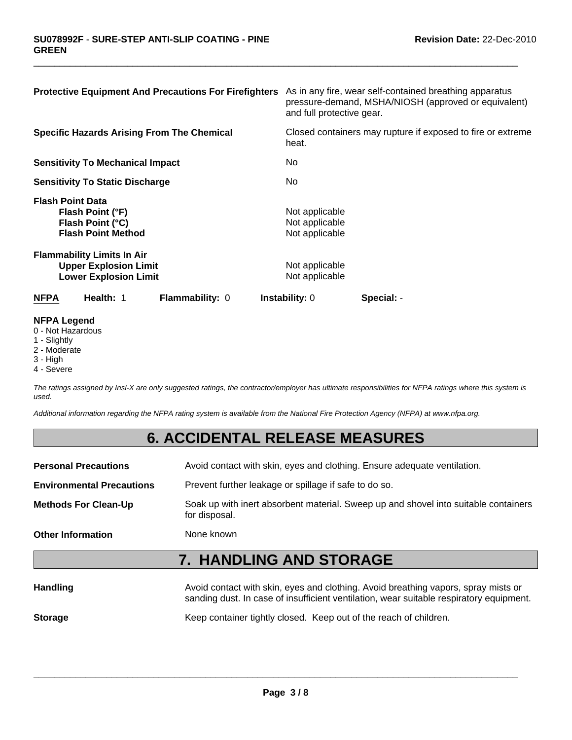| <b>Protective Equipment And Precautions For Firefighters</b>                                      | As in any fire, wear self-contained breathing apparatus<br>pressure-demand, MSHA/NIOSH (approved or equivalent)<br>and full protective gear. |
|---------------------------------------------------------------------------------------------------|----------------------------------------------------------------------------------------------------------------------------------------------|
| <b>Specific Hazards Arising From The Chemical</b>                                                 | Closed containers may rupture if exposed to fire or extreme<br>heat.                                                                         |
| <b>Sensitivity To Mechanical Impact</b>                                                           | No.                                                                                                                                          |
| <b>Sensitivity To Static Discharge</b>                                                            | No.                                                                                                                                          |
| <b>Flash Point Data</b><br>Flash Point (°F)<br>Flash Point (°C)<br><b>Flash Point Method</b>      | Not applicable<br>Not applicable<br>Not applicable                                                                                           |
| <b>Flammability Limits In Air</b><br><b>Upper Explosion Limit</b><br><b>Lower Explosion Limit</b> | Not applicable<br>Not applicable                                                                                                             |
| Health: 1<br><b>Flammability: 0</b><br><b>NFPA</b>                                                | <b>Instability: 0</b><br>Special: -                                                                                                          |

#### **NFPA Legend**

- 0 Not Hazardous
- 1 Slightly
- 2 Moderate
- 3 High
- 4 Severe

*The ratings assigned by Insl-X are only suggested ratings, the contractor/employer has ultimate responsibilities for NFPA ratings where this system is used.*

*Additional information regarding the NFPA rating system is available from the National Fire Protection Agency (NFPA) at www.nfpa.org.*

### **6. ACCIDENTAL RELEASE MEASURES**

**Personal Precautions** Avoid contact with skin, eyes and clothing. Ensure adequate ventilation.

**Environmental Precautions** Prevent further leakage or spillage if safe to do so.

**Methods For Clean-Up** Soak up with inert absorbent material. Sweep up and shovel into suitable containers for disposal.

**Other Information** None known

# **7. HANDLING AND STORAGE**

| <b>Handling</b> | Avoid contact with skin, eyes and clothing. Avoid breathing vapors, spray mists or<br>sanding dust. In case of insufficient ventilation, wear suitable respiratory equipment. |
|-----------------|-------------------------------------------------------------------------------------------------------------------------------------------------------------------------------|
| <b>Storage</b>  | Keep container tightly closed. Keep out of the reach of children.                                                                                                             |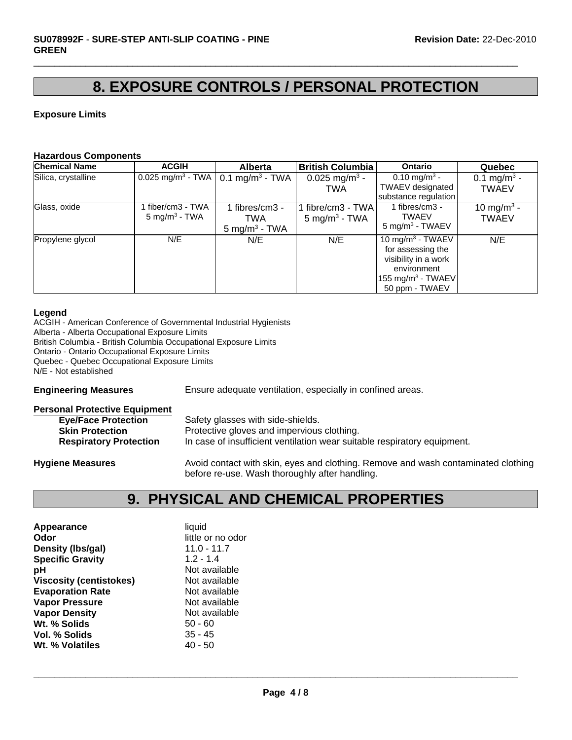## **8. EXPOSURE CONTROLS / PERSONAL PROTECTION**

 $\Box$ 

#### **Exposure Limits**

#### **Hazardous Components**

| <b>Chemical Name</b> | <b>ACGIH</b>                                 | <b>Alberta</b>                                    | <b>British Columbia</b>                        | Ontario                                                                                                                                     | Quebec                                  |
|----------------------|----------------------------------------------|---------------------------------------------------|------------------------------------------------|---------------------------------------------------------------------------------------------------------------------------------------------|-----------------------------------------|
| Silica, crystalline  | 0.025 mg/m <sup>3</sup> - TWA                | 0.1 mg/m <sup>3</sup> - TWA                       | 0.025 mg/m <sup>3</sup> -<br><b>TWA</b>        | 0.10 mg/m <sup>3</sup> -<br><b>TWAEV</b> designated<br>substance regulation                                                                 | 0.1 mg/m <sup>3</sup> -<br><b>TWAEV</b> |
| Glass, oxide         | fiber/cm3 - TWA<br>5 mg/m <sup>3</sup> - TWA | 1 fibres/cm3 -<br>TWA<br>$5 \text{ mg/m}^3$ - TWA | 1 fibre/cm3 - TWA<br>5 mg/m <sup>3</sup> - TWA | 1 fibres/cm $3 -$<br><b>TWAEV</b><br>$5 \text{ mg/m}^3$ - TWAEV                                                                             | 10 mg/m <sup>3</sup> -<br><b>TWAEV</b>  |
| Propylene glycol     | N/E                                          | N/E                                               | N/E                                            | 10 mg/m <sup>3</sup> - TWAEV<br>for assessing the<br>visibility in a work<br>environment<br>155 mg/m <sup>3</sup> - TWAEV<br>50 ppm - TWAEV | N/E                                     |

#### **Legend**

ACGIH - American Conference of Governmental Industrial Hygienists Alberta - Alberta Occupational Exposure Limits British Columbia - British Columbia Occupational Exposure Limits Ontario - Ontario Occupational Exposure Limits Quebec - Quebec Occupational Exposure Limits N/E - Not established

**Engineering Measures** Ensure adequate ventilation, especially in confined areas.

| <b>Personal Protective Equipment</b> |                                                                                   |
|--------------------------------------|-----------------------------------------------------------------------------------|
| <b>Eye/Face Protection</b>           | Safety glasses with side-shields.                                                 |
| <b>Skin Protection</b>               | Protective gloves and impervious clothing.                                        |
| <b>Respiratory Protection</b>        | In case of insufficient ventilation wear suitable respiratory equipment.          |
| <b>Hygiene Measures</b>              | Avoid contact with skin, eyes and clothing. Remove and wash contaminated clothing |

# **9. PHYSICAL AND CHEMICAL PROPERTIES**

before re-use. Wash thoroughly after handling.

| Appearance                     | liquid            |
|--------------------------------|-------------------|
| Odor                           | little or no odor |
| Density (Ibs/gal)              | $11.0 - 11.7$     |
| <b>Specific Gravity</b>        | $1.2 - 1.4$       |
| рH                             | Not available     |
| <b>Viscosity (centistokes)</b> | Not available     |
| <b>Evaporation Rate</b>        | Not available     |
| <b>Vapor Pressure</b>          | Not available     |
| <b>Vapor Density</b>           | Not available     |
| Wt. % Solids                   | $50 - 60$         |
| Vol. % Solids                  | $35 - 45$         |
| Wt. % Volatiles                | 40 - 50           |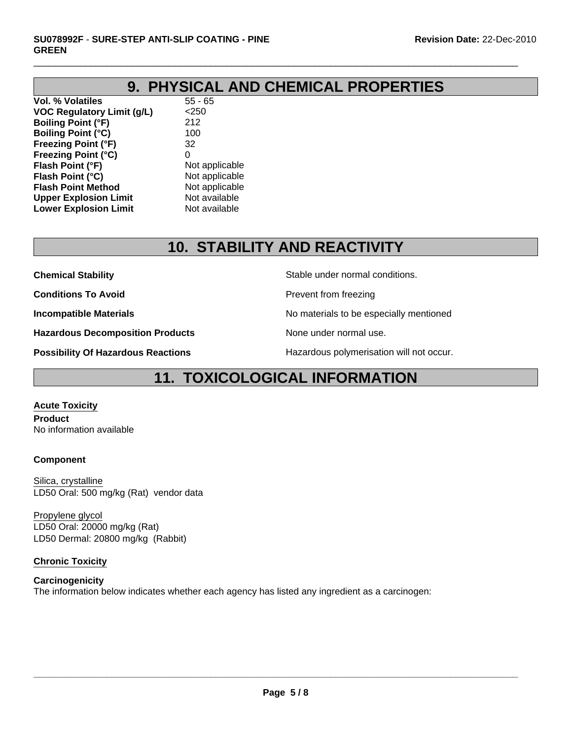# **9. PHYSICAL AND CHEMICAL PROPERTIES**

 $\Box$ 

**Vol. % Volatiles** 55 - 65 **VOC Regulatory Limit (g/L)** <250 **Boiling Point (°F)** 212 **Boiling Point (°C)** 100 **Freezing Point (°F)** 32 **Freezing Point (°C)** 0 **Flash Point (°F)** Not applicable **Flash Point (°C)** Not applicable **Flash Point Method** Not applicable **Upper Explosion Limit** Not available<br> **Lower Explosion Limit** Not available **Lower Explosion Limit** 

# **10. STABILITY AND REACTIVITY**

**Chemical Stability** Stable under normal conditions.

**Conditions To Avoid Prevent from freezing** 

**Incompatible Materials No materials** No materials to be especially mentioned

**Hazardous Decomposition Products** None under normal use.

**Possibility Of Hazardous Reactions The Constant Hazardous polymerisation will not occur.** 

## **11. TOXICOLOGICAL INFORMATION**

**Acute Toxicity Product**

No information available

#### **Component**

Silica, crystalline LD50 Oral: 500 mg/kg (Rat) vendor data

LD50 Oral: 20000 mg/kg (Rat) LD50 Dermal: 20800 mg/kg (Rabbit) Propylene glycol

#### **Chronic Toxicity**

### **Carcinogenicity**

The information below indicates whether each agency has listed any ingredient as a carcinogen: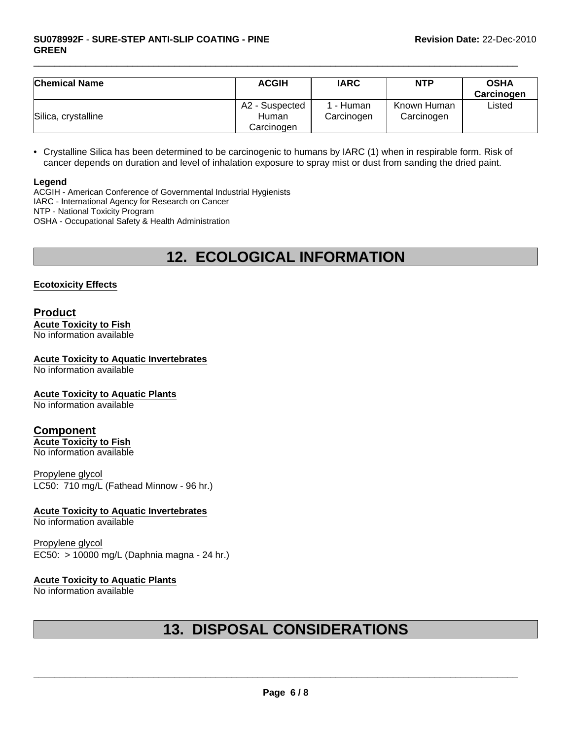| <b>Chemical Name</b> | <b>ACGIH</b>                          | <b>IARC</b>           | <b>NTP</b>                | <b>OSHA</b><br>Carcinogen |
|----------------------|---------------------------------------|-----------------------|---------------------------|---------------------------|
| Silica, crystalline  | A2 - Suspected<br>Human<br>Carcinogen | - Human<br>Carcinogen | Known Human<br>Carcinogen | Listed                    |

• Crystalline Silica has been determined to be carcinogenic to humans by IARC (1) when in respirable form. Risk of cancer depends on duration and level of inhalation exposure to spray mist or dust from sanding the dried paint.

#### **Legend**

ACGIH - American Conference of Governmental Industrial Hygienists IARC - International Agency for Research on Cancer NTP - National Toxicity Program OSHA - Occupational Safety & Health Administration

# **12. ECOLOGICAL INFORMATION**

#### **Ecotoxicity Effects**

#### **Product Acute Toxicity to Fish** No information available

### **Acute Toxicity to Aquatic Invertebrates**

No information available

#### **Acute Toxicity to Aquatic Plants**

No information available

#### **Component**

**Acute Toxicity to Fish** No information available

Propylene glycol LC50: 710 mg/L (Fathead Minnow - 96 hr.)

#### **Acute Toxicity to Aquatic Invertebrates**

No information available

Propylene glycol EC50: > 10000 mg/L (Daphnia magna - 24 hr.)

#### **Acute Toxicity to Aquatic Plants**

No information available

# **13. DISPOSAL CONSIDERATIONS**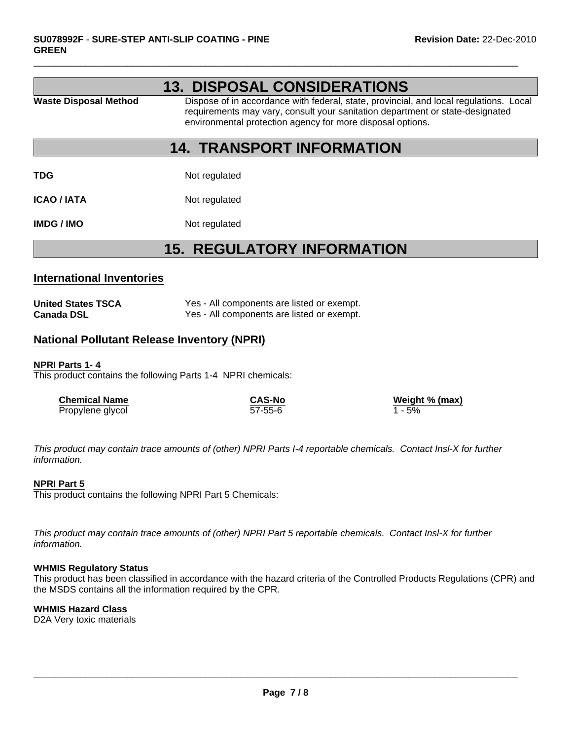|                              | <b>13. DISPOSAL CONSIDERATIONS</b>                                                                                                                                                                                                    |
|------------------------------|---------------------------------------------------------------------------------------------------------------------------------------------------------------------------------------------------------------------------------------|
| <b>Waste Disposal Method</b> | Dispose of in accordance with federal, state, provincial, and local regulations. Local<br>requirements may vary, consult your sanitation department or state-designated<br>environmental protection agency for more disposal options. |

### **14. TRANSPORT INFORMATION**

**TDG** Not regulated

**ICAO / IATA** Not regulated

**IMDG / IMO** Not regulated

### **15. REGULATORY INFORMATION**

#### **International Inventories**

| <b>United States TSCA</b> | Yes - All components are listed or exempt. |
|---------------------------|--------------------------------------------|
| <b>Canada DSL</b>         | Yes - All components are listed or exempt. |

#### **National Pollutant Release Inventory (NPRI)**

#### **NPRI Parts 1- 4**

This product contains the following Parts 1-4 NPRI chemicals:

| <b>Chemical Name</b> | <b>CAS-No</b> | Weight % (max) |
|----------------------|---------------|----------------|
| Propylene glycol     | $57 - 55 - 6$ | 1 - 5%         |

*This product may contain trace amounts of (other) NPRI Parts I-4 reportable chemicals. Contact Insl-X for further information.*

#### **NPRI Part 5**

This product contains the following NPRI Part 5 Chemicals:

*This product may contain trace amounts of (other) NPRI Part 5 reportable chemicals. Contact Insl-X for further information.*

#### **WHMIS Regulatory Status**

This product has been classified in accordance with the hazard criteria of the Controlled Products Regulations (CPR) and the MSDS contains all the information required by the CPR.

#### **WHMIS Hazard Class**

D2A Very toxic materials